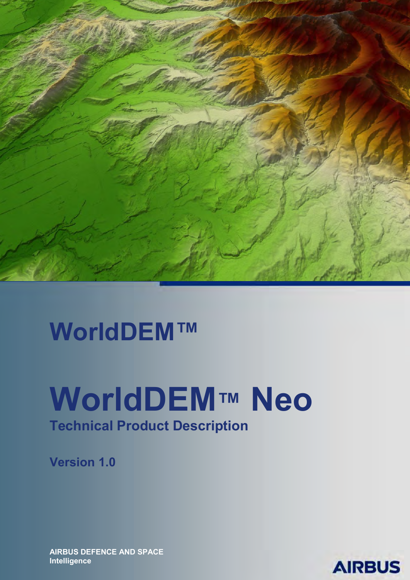

# **WorldDEM™**

# **WorldDEM™ Neo Technical Product Description**

**Version 1.0**

**AIRBUS DEFENCE AND SPACE Intelligence** 

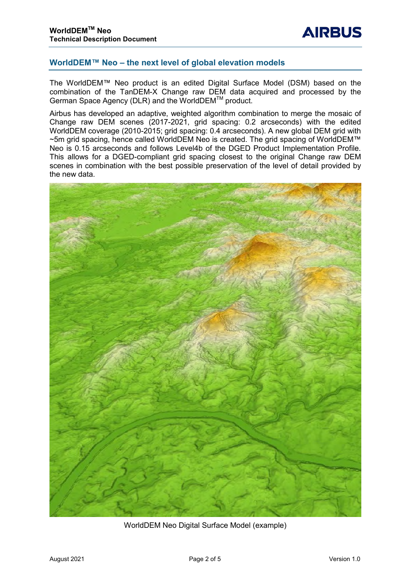# **WorldDEM™ Neo – the next level of global elevation models**

The WorldDEM™ Neo product is an edited Digital Surface Model (DSM) based on the combination of the TanDEM-X Change raw DEM data acquired and processed by the German Space Agency (DLR) and the WorldDEMTM product.

Airbus has developed an adaptive, weighted algorithm combination to merge the mosaic of Change raw DEM scenes (2017-2021, grid spacing: 0.2 arcseconds) with the edited WorldDEM coverage (2010-2015; grid spacing: 0.4 arcseconds). A new global DEM grid with ~5m grid spacing, hence called WorldDEM Neo is created. The grid spacing of WorldDEM™ Neo is 0.15 arcseconds and follows Level4b of the DGED Product Implementation Profile. This allows for a DGED-compliant grid spacing closest to the original Change raw DEM scenes in combination with the best possible preservation of the level of detail provided by the new data.



WorldDEM Neo Digital Surface Model (example)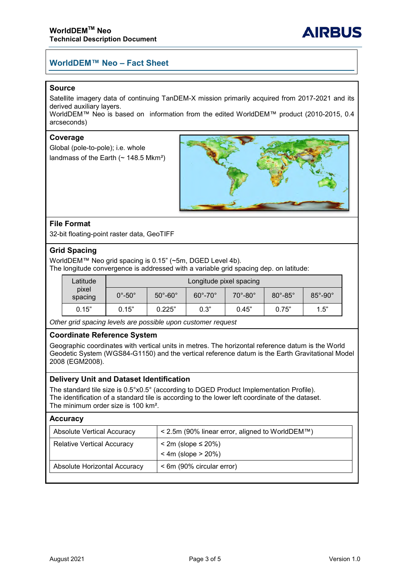# **WorldDEM™ Neo – Fact Sheet**

#### **Source**

Satellite imagery data of continuing TanDEM-X mission primarily acquired from 2017-2021 and its derived auxiliary layers.

WorldDEM™ Neo is based on information from the edited WorldDEM™ product (2010-2015, 0.4 arcseconds)

#### **Coverage**

Global (pole-to-pole); i.e. whole landmass of the Earth ( $\sim$  148.5 Mkm<sup>2</sup>)



### **File Format**

32-bit floating-point raster data, GeoTIFF

#### **Grid Spacing**

WorldDEM™ Neo grid spacing is 0.15" (~5m, DGED Level 4b). The longitude convergence is addressed with a variable grid spacing dep. on latitude:

| Latitude<br>pixel<br>spacing | Longitude pixel spacing |                             |                       |                             |                         |                         |  |
|------------------------------|-------------------------|-----------------------------|-----------------------|-----------------------------|-------------------------|-------------------------|--|
|                              | $0^\circ$ -50 $^\circ$  | $50^{\circ}$ -60 $^{\circ}$ | $60^\circ - 70^\circ$ | $70^{\circ}$ -80 $^{\circ}$ | $80^\circ$ -85 $^\circ$ | $85^\circ$ -90 $^\circ$ |  |
| 0.15"                        | 0.15"                   | 0.225"                      | 0.3"                  | 0.45"                       | 0.75"                   | 1.5"                    |  |

*Other grid spacing levels are possible upon customer request*

#### **Coordinate Reference System**

Geographic coordinates with vertical units in metres. The horizontal reference datum is the World Geodetic System (WGS84-G1150) and the vertical reference datum is the Earth Gravitational Model 2008 (EGM2008).

#### **Delivery Unit and Dataset Identification**

The standard tile size is 0.5°x0.5° (according to DGED Product Implementation Profile). The identification of a standard tile is according to the lower left coordinate of the dataset. The minimum order size is 100 km².

#### **Accuracy**

| Absolute Vertical Accuracy        | < 2.5m (90% linear error, aligned to WorldDEM™)        |
|-----------------------------------|--------------------------------------------------------|
| <b>Relative Vertical Accuracy</b> | $\le$ 2m (slope $\le$ 20%)<br>$< 4m$ (slope $> 20\%$ ) |
| Absolute Horizontal Accuracy      | < 6m (90% circular error)                              |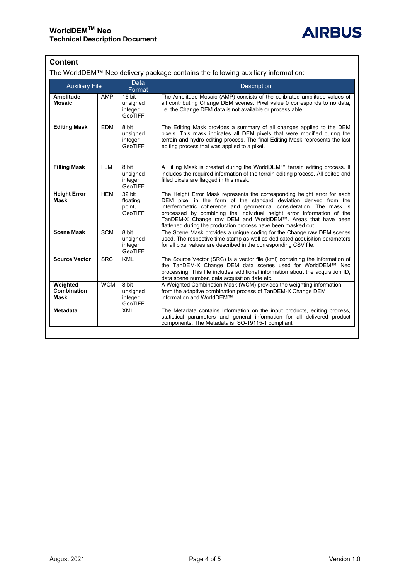# **Content**

The WorldDEM™ Neo delivery package contains the following auxiliary information:

| <b>Auxiliary File</b>                  |            | <b>Data</b><br>Format                              | <b>Description</b>                                                                                                                                                                                                                                                                                                                                                                                                            |  |
|----------------------------------------|------------|----------------------------------------------------|-------------------------------------------------------------------------------------------------------------------------------------------------------------------------------------------------------------------------------------------------------------------------------------------------------------------------------------------------------------------------------------------------------------------------------|--|
| Amplitude<br><b>Mosaic</b>             | AMP        | 16 bit<br>unsigned<br>integer,<br><b>GeoTIFF</b>   | The Amplitude Mosaic (AMP) consists of the calibrated amplitude values of<br>all contributing Change DEM scenes. Pixel value 0 corresponds to no data,<br>i.e. the Change DEM data is not available or process able.                                                                                                                                                                                                          |  |
| <b>Editing Mask</b>                    | <b>EDM</b> | 8 bit<br>unsigned<br>integer,<br><b>GeoTIFF</b>    | The Editing Mask provides a summary of all changes applied to the DEM<br>pixels. This mask indicates all DEM pixels that were modified during the<br>terrain and hydro editing process. The final Editing Mask represents the last<br>editing process that was applied to a pixel.                                                                                                                                            |  |
| <b>Filling Mask</b>                    | <b>FLM</b> | 8 bit<br>unsigned<br>integer,<br>GeoTIFF           | A Filling Mask is created during the WorldDEM™ terrain editing process. It<br>includes the required information of the terrain editing process. All edited and<br>filled pixels are flagged in this mask.                                                                                                                                                                                                                     |  |
| <b>Height Error</b><br><b>Mask</b>     | <b>HEM</b> | 32 bit<br>floating<br>point,<br><b>GeoTIFF</b>     | The Height Error Mask represents the corresponding height error for each<br>DEM pixel in the form of the standard deviation derived from the<br>interferometric coherence and geometrical consideration. The mask is<br>processed by combining the individual height error information of the<br>TanDEM-X Change raw DEM and WorldDEM™. Areas that have been<br>flattened during the production process have been masked out. |  |
| <b>Scene Mask</b>                      | <b>SCM</b> | $8 \text{ bit}$<br>unsigned<br>integer,<br>GeoTIFF | The Scene Mask provides a unique coding for the Change raw DEM scenes<br>used. The respective time stamp as well as dedicated acquisition parameters<br>for all pixel values are described in the corresponding CSV file.                                                                                                                                                                                                     |  |
| <b>Source Vector</b>                   | <b>SRC</b> | <b>KML</b>                                         | The Source Vector (SRC) is a vector file (kml) containing the information of<br>the TanDEM-X Change DEM data scenes used for WorldDEM™ Neo<br>processing. This file includes additional information about the acquisition ID,<br>data scene number, data acquisition date etc.                                                                                                                                                |  |
| Weighted<br>Combination<br><b>Mask</b> | <b>WCM</b> | 8 bit<br>unsigned<br>integer,<br><b>GeoTIFF</b>    | A Weighted Combination Mask (WCM) provides the weighting information<br>from the adaptive combination process of TanDEM-X Change DEM<br>information and WorldDEM™.                                                                                                                                                                                                                                                            |  |
| <b>Metadata</b>                        |            | <b>XML</b>                                         | The Metadata contains information on the input products, editing process,<br>statistical parameters and general information for all delivered product<br>components. The Metadata is ISO-19115-1 compliant.                                                                                                                                                                                                                   |  |